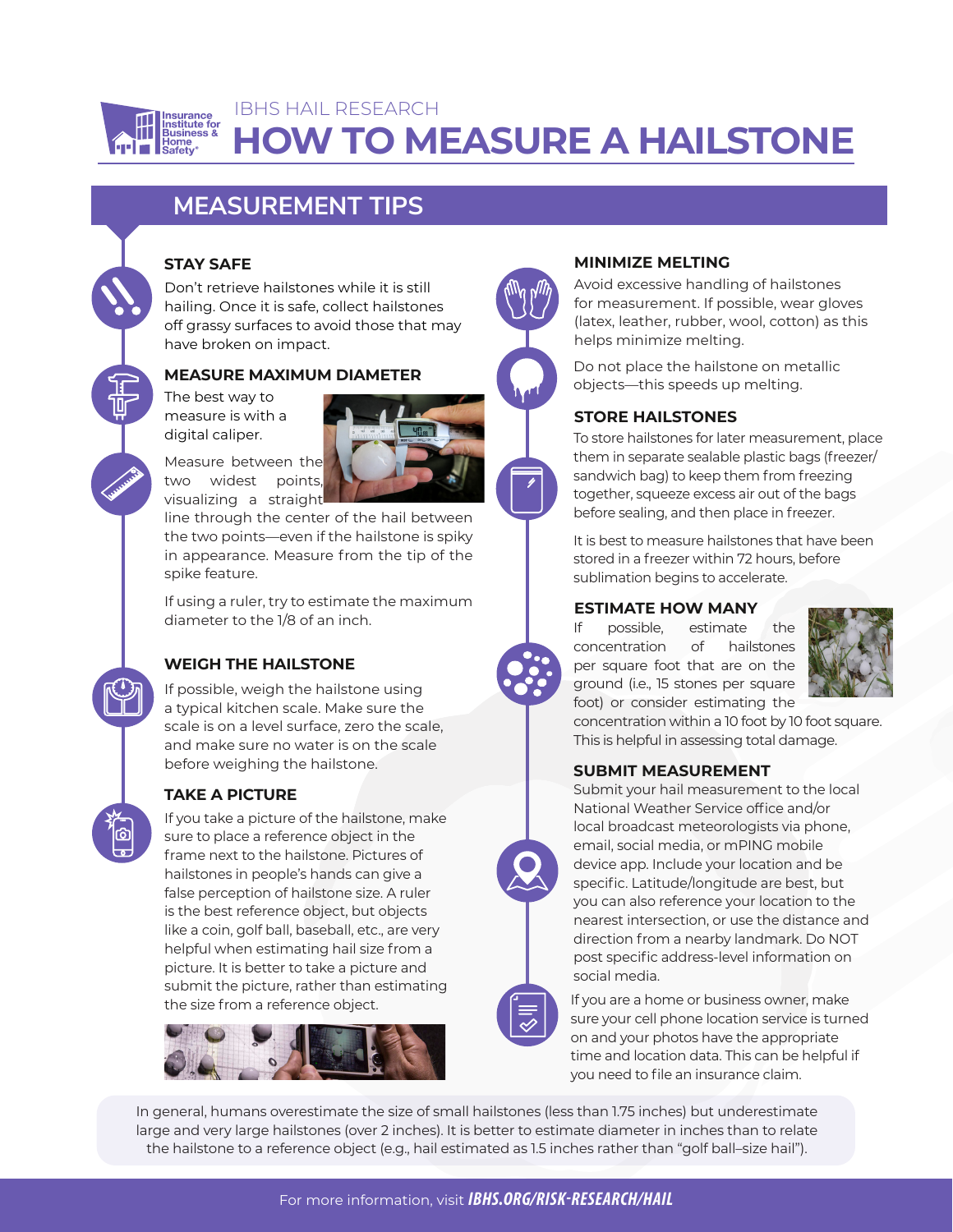

# **HOW TO MEASURE A HAILSTONE** IBHS HAIL RESEARCH

## **MEASUREMENT TIPS**

#### **STAY SAFE**

Don't retrieve hailstones while it is still hailing. Once it is safe, collect hailstones off grassy surfaces to avoid those that may have broken on impact.

### **MEASURE MAXIMUM DIAMETER**

The best way to measure is with a digital caliper.



line through the center of the hail between the two points—even if the hailstone is spiky in appearance. Measure from the tip of the spike feature.

If using a ruler, try to estimate the maximum diameter to the 1/8 of an inch.

## **WEIGH THE HAILSTONE**

If possible, weigh the hailstone using a typical kitchen scale. Make sure the scale is on a level surface, zero the scale, and make sure no water is on the scale before weighing the hailstone.

## **TAKE A PICTURE**

If you take a picture of the hailstone, make sure to place a reference object in the frame next to the hailstone. Pictures of hailstones in people's hands can give a false perception of hailstone size. A ruler is the best reference object, but objects like a coin, golf ball, baseball, etc., are very helpful when estimating hail size from a picture. It is better to take a picture and submit the picture, rather than estimating the size from a reference object.



#### **MINIMIZE MELTING**

Avoid excessive handling of hailstones for measurement. If possible, wear gloves (latex, leather, rubber, wool, cotton) as this helps minimize melting.

Do not place the hailstone on metallic objects—this speeds up melting.

## **STORE HAILSTONES**

To store hailstones for later measurement, place them in separate sealable plastic bags (freezer/ sandwich bag) to keep them from freezing together, squeeze excess air out of the bags before sealing, and then place in freezer.

It is best to measure hailstones that have been stored in a freezer within 72 hours, before sublimation begins to accelerate.

#### **ESTIMATE HOW MANY**

If possible, estimate the concentration of hailstones per square foot that are on the ground (i.e., 15 stones per square foot) or consider estimating the



concentration within a 10 foot by 10 foot square. This is helpful in assessing total damage.

#### **SUBMIT MEASUREMENT**



Submit your hail measurement to the local National Weather Service office and/or local broadcast meteorologists via phone, email, social media, or mPING mobile device app. Include your location and be specific. Latitude/longitude are best, but you can also reference your location to the nearest intersection, or use the distance and direction from a nearby landmark. Do NOT post specific address-level information on social media.



If you are a home or business owner, make sure your cell phone location service is turned on and your photos have the appropriate time and location data. This can be helpful if you need to file an insurance claim.

In general, humans overestimate the size of small hailstones (less than 1.75 inches) but underestimate large and very large hailstones (over 2 inches). It is better to estimate diameter in inches than to relate the hailstone to a reference object (e.g., hail estimated as 1.5 inches rather than "golf ball–size hail").

For more information, visit *IBHS.ORG/RISK-RESEARCH/HAIL*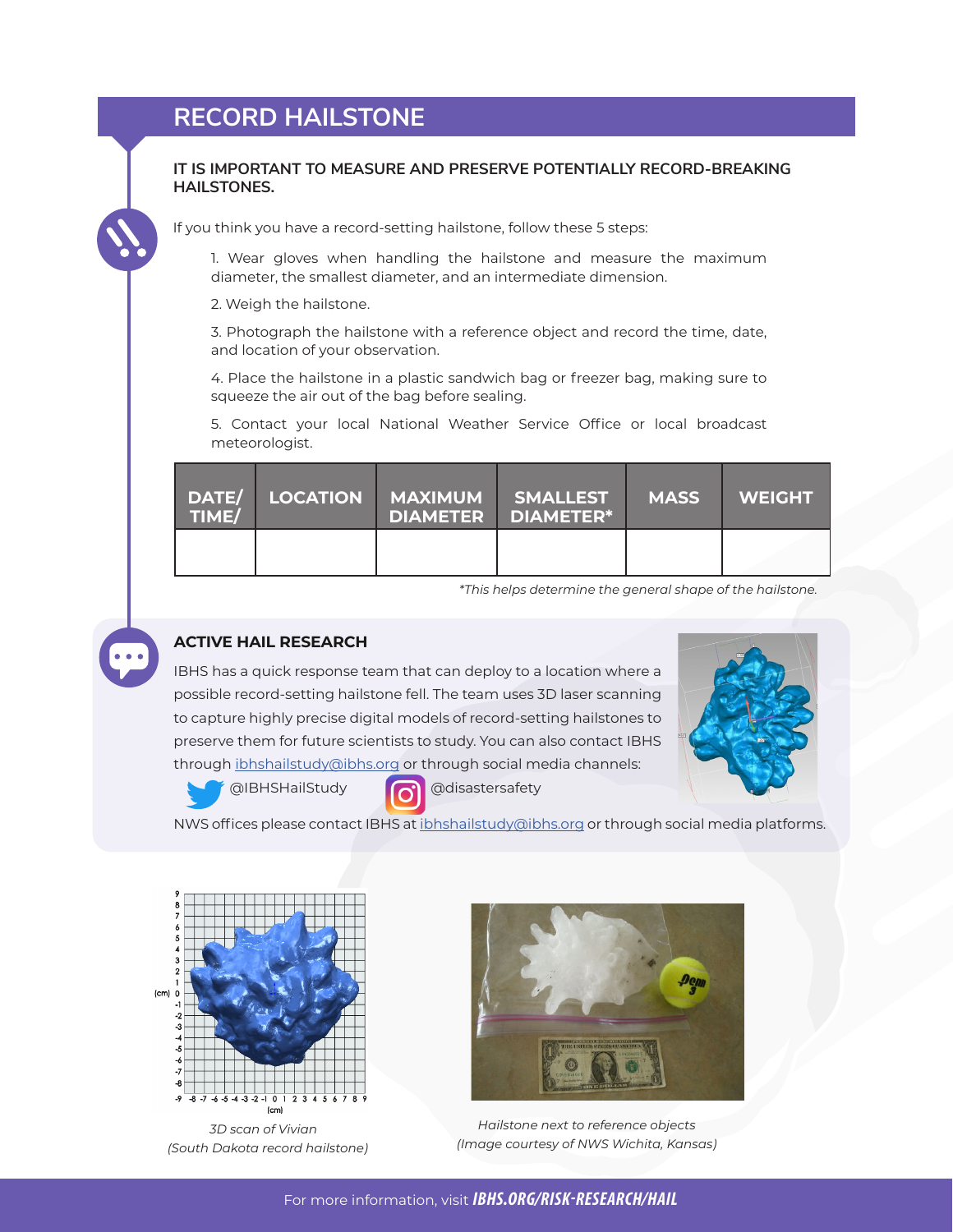## **RECORD HAILSTONE**

#### **IT IS IMPORTANT TO MEASURE AND PRESERVE POTENTIALLY RECORD-BREAKING HAILSTONES.**

If you think you have a record-setting hailstone, follow these 5 steps:

1. Wear gloves when handling the hailstone and measure the maximum diameter, the smallest diameter, and an intermediate dimension.

2. Weigh the hailstone.

3. Photograph the hailstone with a reference object and record the time, date, and location of your observation.

4. Place the hailstone in a plastic sandwich bag or freezer bag, making sure to squeeze the air out of the bag before sealing.

5. Contact your local National Weather Service Office or local broadcast meteorologist.

| TIME/ |  | DATE/ LOCATION MAXIMUM SMALLEST<br><b>DIAMETER DIAMETER*</b> | <b>MASS</b> | <b>WEIGHT</b> |
|-------|--|--------------------------------------------------------------|-------------|---------------|
|       |  |                                                              |             |               |

*\*This helps determine the general shape of the hailstone.*



### **ACTIVE HAIL RESEARCH**

IBHS has a quick response team that can deploy to a location where a possible record-setting hailstone fell. The team uses 3D laser scanning to capture highly precise digital models of record-setting hailstones to preserve them for future scientists to study. You can also contact IBHS through ibhshailstudy@ibhs.org or through social media channels:

@IBHSHailStudy @disastersafety



NWS offices please contact IBHS at ibhshailstudy@ibhs.org or through social media platforms.



*3D scan of Vivian (South Dakota record hailstone)* 



*Hailstone next to reference objects (Image courtesy of NWS Wichita, Kansas)*